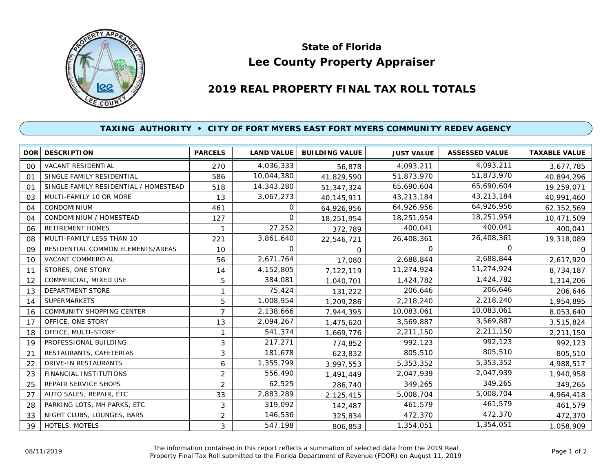

## **Lee County Property Appraiser State of Florida**

## **2019 REAL PROPERTY FINAL TAX ROLL TOTALS**

## **TAXING AUTHORITY • CITY OF FORT MYERS EAST FORT MYERS COMMUNITY REDEV AGENCY**

| <b>DOR</b>     | <b>DESCRIPTION</b>                    | <b>PARCELS</b> | <b>LAND VALUE</b> | <b>BUILDING VALUE</b> | <b>JUST VALUE</b> | <b>ASSESSED VALUE</b> | <b>TAXABLE VALUE</b> |
|----------------|---------------------------------------|----------------|-------------------|-----------------------|-------------------|-----------------------|----------------------|
| 00             | <b>VACANT RESIDENTIAL</b>             | 270            | 4,036,333         | 56,878                | 4,093,211         | 4,093,211             | 3,677,785            |
| O <sub>1</sub> | SINGLE FAMILY RESIDENTIAL             | 586            | 10,044,380        | 41,829,590            | 51,873,970        | 51,873,970            | 40,894,296           |
| 01             | SINGLE FAMILY RESIDENTIAL / HOMESTEAD | 518            | 14,343,280        | 51,347,324            | 65,690,604        | 65,690,604            | 19,259,071           |
| 03             | MULTI-FAMILY 10 OR MORE               | 13             | 3,067,273         | 40,145,911            | 43,213,184        | 43,213,184            | 40,991,460           |
| 04             | CONDOMINIUM                           | 461            | 0                 | 64,926,956            | 64,926,956        | 64,926,956            | 62,352,569           |
| 04             | CONDOMINIUM / HOMESTEAD               | 127            | $\Omega$          | 18,251,954            | 18,251,954        | 18,251,954            | 10,471,509           |
| 06             | <b>RETIREMENT HOMES</b>               |                | 27,252            | 372,789               | 400,041           | 400,041               | 400,041              |
| 08             | MULTI-FAMILY LESS THAN 10             | 221            | 3,861,640         | 22,546,721            | 26,408,361        | 26,408,361            | 19,318,089           |
| 09             | RESIDENTIAL COMMON ELEMENTS/AREAS     | 10             | 0                 | $\Omega$              | $\Omega$          | <sup>o</sup>          | 0                    |
| 10             | VACANT COMMERCIAL                     | 56             | 2,671,764         | 17,080                | 2,688,844         | 2,688,844             | 2,617,920            |
| 11             | STORES, ONE STORY                     | 14             | 4,152,805         | 7,122,119             | 11,274,924        | 11,274,924            | 8,734,187            |
| 12             | COMMERCIAL, MIXED USE                 | 5              | 384,081           | 1,040,701             | 1,424,782         | 1,424,782             | 1,314,206            |
| 13             | DEPARTMENT STORE                      | 1              | 75,424            | 131,222               | 206,646           | 206,646               | 206,646              |
| 14             | <b>SUPERMARKETS</b>                   | 5              | 1,008,954         | 1,209,286             | 2,218,240         | 2,218,240             | 1,954,895            |
| 16             | <b>COMMUNITY SHOPPING CENTER</b>      | 7              | 2,138,666         | 7,944,395             | 10,083,061        | 10,083,061            | 8,053,640            |
| 17             | OFFICE, ONE STORY                     | 13             | 2,094,267         | 1,475,620             | 3,569,887         | 3,569,887             | 3,515,824            |
| 18             | OFFICE, MULTI-STORY                   | 1              | 541,374           | 1,669,776             | 2,211,150         | 2,211,150             | 2,211,150            |
| 19             | PROFESSIONAL BUILDING                 | 3              | 217,271           | 774,852               | 992,123           | 992,123               | 992,123              |
| 21             | RESTAURANTS, CAFETERIAS               | 3              | 181,678           | 623,832               | 805,510           | 805,510               | 805,510              |
| 22             | <b>DRIVE-IN RESTAURANTS</b>           | 6              | 1,355,799         | 3,997,553             | 5,353,352         | 5,353,352             | 4,988,517            |
| 23             | FINANCIAL INSTITUTIONS                | 2              | 556,490           | 1,491,449             | 2,047,939         | 2,047,939             | 1,940,958            |
| 25             | REPAIR SERVICE SHOPS                  | $\overline{2}$ | 62,525            | 286,740               | 349,265           | 349,265               | 349,265              |
| 27             | AUTO SALES, REPAIR, ETC               | 33             | 2,883,289         | 2,125,415             | 5,008,704         | 5,008,704             | 4,964,418            |
| 28             | PARKING LOTS, MH PARKS, ETC           | 3              | 319,092           | 142,487               | 461,579           | 461,579               | 461,579              |
| 33             | NIGHT CLUBS, LOUNGES, BARS            | 2              | 146,536           | 325,834               | 472,370           | 472,370               | 472,370              |
| 39             | HOTELS, MOTELS                        | 3              | 547,198           | 806,853               | 1,354,051         | 1,354,051             | 1,058,909            |